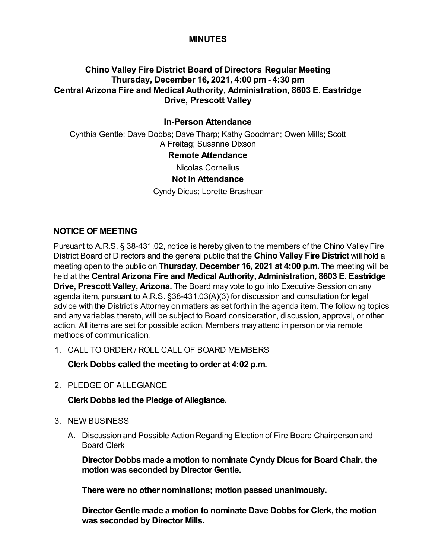## **MINUTES**

# **Chino Valley Fire District Board of Directors Regular Meeting Thursday, December 16, 2021, 4:00 pm - 4:30 pm Central Arizona Fire and Medical Authority, Administration, 8603 E. Eastridge Drive, Prescott Valley**

# **In-Person Attendance**

Cynthia Gentle; Dave Dobbs; Dave Tharp; Kathy Goodman; Owen Mills; Scott A Freitag; Susanne Dixson

### **Remote Attendance**

Nicolas Cornelius

### **Not In Attendance**

Cyndy Dicus; Lorette Brashear

## **NOTICE OF MEETING**

Pursuant to A.R.S. § 38-431.02, notice is hereby given to the members of the Chino Valley Fire District Board of Directors and the general public that the **Chino Valley Fire District** will hold a meeting open to the public on **Thursday, December 16, 2021 at 4:00 p.m.** The meeting will be held at the **Central Arizona Fire and Medical Authority, Administration, 8603 E. Eastridge Drive, Prescott Valley, Arizona.** The Board may vote to go into Executive Session on any agenda item, pursuant to A.R.S. §38-431.03(A)(3) for discussion and consultation for legal advice with the District's Attorney on matters as set forth in the agenda item. The following topics and any variables thereto, will be subject to Board consideration, discussion, approval, or other action. All items are set for possible action. Members may attend in person or via remote methods of communication.

1. CALL TO ORDER / ROLL CALL OF BOARD MEMBERS

**Clerk Dobbs called the meeting to order at 4:02 p.m.**

2. PLEDGE OF ALLEGIANCE

**Clerk Dobbs led the Pledge of Allegiance.**

- 3. NEW BUSINESS
	- A. Discussion and Possible Action Regarding Election of Fire Board Chairperson and Board Clerk

**Director Dobbs made a motion to nominate Cyndy Dicus for Board Chair, the motion was seconded by Director Gentle.**

**There were no other nominations; motion passed unanimously.**

**Director Gentle made a motion to nominate Dave Dobbs for Clerk, the motion was seconded by Director Mills.**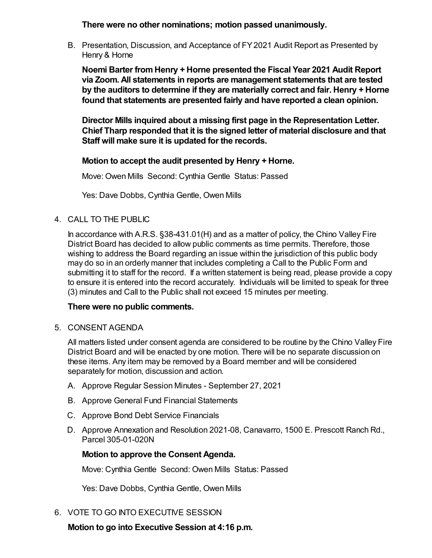**There were no other nominations; motion passed unanimously.**

B. Presentation, Discussion, and Acceptance of FY 2021 Audit Report as Presented by Henry & Horne

**Noemi Barter from Henry + Horne presented the Fiscal Year 2021 Audit Report via Zoom. All statements in reports are management statements that are tested by the auditors to determine if they are materially correct and fair. Henry + Horne found that statements are presented fairly and have reported a clean opinion.**

**Director Mills inquired about a missing first page in the Representation Letter. Chief Tharp responded that it is the signed letter of material disclosure and that Staff will make sure it is updated for the records.** 

**Motion to accept the audit presented by Henry + Horne.**

Move: Owen Mills Second: Cynthia Gentle Status: Passed

Yes: Dave Dobbs, Cynthia Gentle, Owen Mills

4. CALL TO THE PUBLIC

In accordance with A.R.S. §38-431.01(H) and as a matter of policy, the Chino Valley Fire District Board has decided to allow public comments as time permits. Therefore, those wishing to address the Board regarding an issue within the jurisdiction of this public body may do so in an orderly manner that includes completing a Call to the Public Form and submitting it to staff for the record. If a written statement is being read, please provide a copy to ensure it is entered into the record accurately. Individuals will be limited to speak for three (3) minutes and Call to the Public shall not exceed 15 minutes per meeting.

#### **There were no public comments.**

5. CONSENT AGENDA

All matters listed under consent agenda are considered to be routine by the Chino Valley Fire District Board and will be enacted by one motion. There will be no separate discussion on these items. Any item may be removed by a Board member and will be considered separately for motion, discussion and action.

- A. Approve Regular Session Minutes September 27, 2021
- B. Approve General Fund Financial Statements
- C. Approve Bond Debt Service Financials
- D. Approve Annexation and Resolution 2021-08, Canavarro, 1500 E. Prescott Ranch Rd., Parcel 305-01-020N

#### **Motion to approve the Consent Agenda.**

Move: Cynthia Gentle Second: Owen Mills Status: Passed

Yes: Dave Dobbs, Cynthia Gentle, Owen Mills

6. VOTE TO GO INTO EXECUTIVE SESSION

**Motion to go into Executive Session at 4:16 p.m.**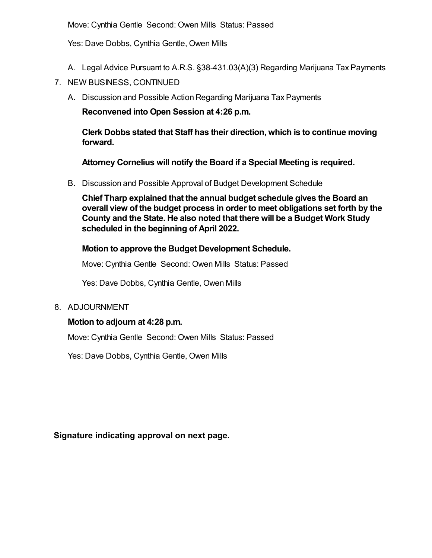Move: Cynthia Gentle Second: Owen Mills Status: Passed

Yes: Dave Dobbs, Cynthia Gentle, Owen Mills

- A. Legal Advice Pursuant to A.R.S. §38-431.03(A)(3) Regarding Marijuana Tax Payments
- 7. NEW BUSINESS, CONTINUED
	- A. Discussion and Possible Action Regarding Marijuana Tax Payments

**Reconvened into Open Session at 4:26 p.m.**

**Clerk Dobbs stated that Staff has their direction, which is to continue moving forward.**

**Attorney Cornelius will notify the Board if a Special Meeting is required.**

B. Discussion and Possible Approval of Budget Development Schedule

**Chief Tharp explained that the annual budget schedule gives the Board an overall view of the budget process in order to meet obligations set forth by the County and the State. He also noted that there will be a Budget Work Study scheduled in the beginning of April 2022.**

**Motion to approve the Budget Development Schedule.**

Move: Cynthia Gentle Second: Owen Mills Status: Passed

Yes: Dave Dobbs, Cynthia Gentle, Owen Mills

8. ADJOURNMENT

# **Motion to adjourn at 4:28 p.m.**

Move: Cynthia Gentle Second: Owen Mills Status: Passed

Yes: Dave Dobbs, Cynthia Gentle, Owen Mills

**Signature indicating approval on next page.**